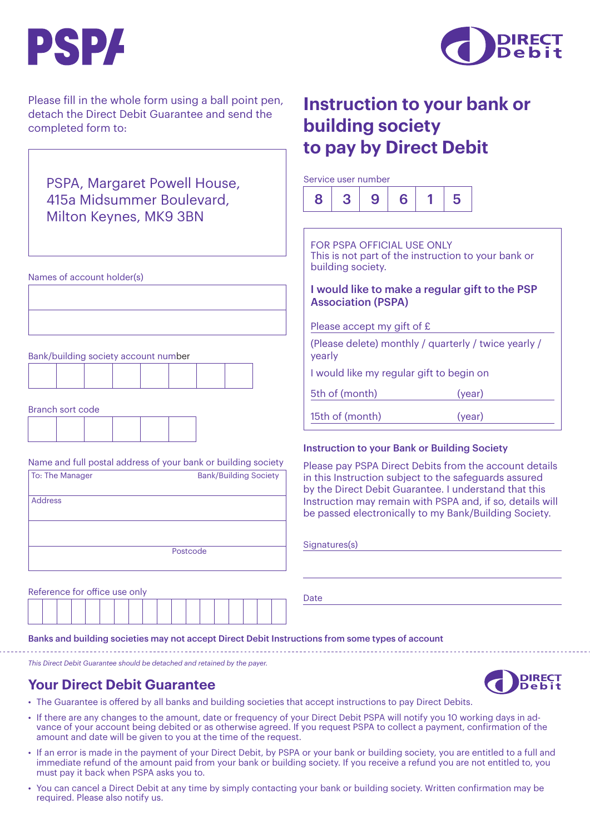



Please fill in the whole form using a ball point pen, detach the Direct Debit Guarantee and send the completed form to:

## PSPA, Margaret Powell House, 415a Midsummer Boulevard, Milton Keynes, MK9 3BN

Names of account holder(s)

Bank/building society account number

Branch sort code

|  | _ . _ _ _ _ . |  |  |
|--|---------------|--|--|
|  |               |  |  |
|  |               |  |  |
|  |               |  |  |
|  |               |  |  |
|  |               |  |  |
|  |               |  |  |

Name and full postal address of your bank or building society

| To: The Manager | <b>Bank/Building Society</b> |
|-----------------|------------------------------|
| <b>Address</b>  |                              |
|                 |                              |
|                 | Postcode                     |

|  | Reference for office use only |  |  |  |  |  |  |  |
|--|-------------------------------|--|--|--|--|--|--|--|
|  |                               |  |  |  |  |  |  |  |

Date

Banks and building societies may not accept Direct Debit Instructions from some types of account

*This Direct Debit Guarantee should be detached and retained by the payer.*

## **Your Direct Debit Guarantee**

- **DIRECT**
- The Guarantee is offered by all banks and building societies that accept instructions to pay Direct Debits.
- If there are any changes to the amount, date or frequency of your Direct Debit PSPA will notify you 10 working days in advance of your account being debited or as otherwise agreed. If you request PSPA to collect a payment, confirmation of the amount and date will be given to you at the time of the request.
- If an error is made in the payment of your Direct Debit, by PSPA or your bank or building society, you are entitled to a full and immediate refund of the amount paid from your bank or building society. If you receive a refund you are not entitled to, you must pay it back when PSPA asks you to.
- You can cancel a Direct Debit at any time by simply contacting your bank or building society. Written confirmation may be required. Please also notify us.

## **Instruction to your bank or building society to pay by Direct Debit**

Service user number



FOR PSPA OFFICIAL USE ONLY This is not part of the instruction to your bank or building society.

#### I would like to make a regular gift to the PSP Association (PSPA)

Please accept my gift of £

(Please delete) monthly / quarterly / twice yearly / yearly

I would like my regular gift to begin on

5th of (month) (year)

| 15th of (month) | (year) |  |
|-----------------|--------|--|
|                 |        |  |

#### Instruction to your Bank or Building Society

Please pay PSPA Direct Debits from the account details in this Instruction subject to the safeguards assured by the Direct Debit Guarantee. I understand that this Instruction may remain with PSPA and, if so, details will be passed electronically to my Bank/Building Society.

#### Signatures(s)